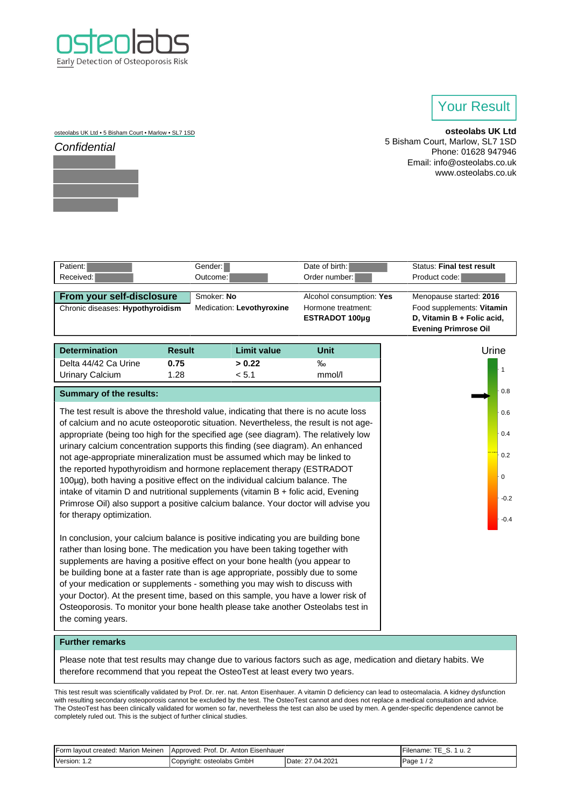

## Your Result

osteolabs UK Ltd • 5 Bisham Court • Marlow • SL7 1SD



**osteolabs UK Ltd** 5 Bisham Court, Marlow, SL7 1SD Phone: 01628 947946 Email: info@osteolabs.co.uk www.osteolabs.co.uk

| Patient:                         | Gender:                   | Date of birth:           | <b>Status: Final test result</b> |
|----------------------------------|---------------------------|--------------------------|----------------------------------|
| Received:                        | Outcome:                  | Order number:            | Product code:                    |
|                                  |                           |                          |                                  |
| From your self-disclosure        | Smoker: No                | Alcohol consumption: Yes | Menopause started: 2016          |
| Chronic diseases: Hypothyroidism | Medication: Levothyroxine | Hormone treatment:       | Food supplements: Vitamin        |
|                                  |                           | ESTRADOT 100µq           | D, Vitamin B + Folic acid,       |
|                                  |                           |                          | <b>Evening Primrose Oil</b>      |
|                                  |                           |                          |                                  |
|                                  |                           |                          |                                  |

| <b>Determination</b> | <b>Result</b> | Limit value | Unit   |
|----------------------|---------------|-------------|--------|
| Delta 44/42 Ca Urine | 0.75          | > 0.22      | ‰      |
| Urinary Calcium      | 1.28          | < 5.1       | mmol/l |

| <b>Summary of the results:</b> |  |  |
|--------------------------------|--|--|
|--------------------------------|--|--|

The test result is above the threshold value, indicating that there is no acute loss of calcium and no acute osteoporotic situation. Nevertheless, the result is not ageappropriate (being too high for the specified age (see diagram). The relatively low urinary calcium concentration supports this finding (see diagram). An enhanced not age-appropriate mineralization must be assumed which may be linked to the reported hypothyroidism and hormone replacement therapy (ESTRADOT 100µg), both having a positive effect on the individual calcium balance. The intake of vitamin D and nutritional supplements (vitamin B + folic acid, Evening Primrose Oil) also support a positive calcium balance. Your doctor will advise you for therapy optimization.



In conclusion, your calcium balance is positive indicating you are building bone rather than losing bone. The medication you have been taking together with supplements are having a positive effect on your bone health (you appear to be building bone at a faster rate than is age appropriate, possibly due to some of your medication or supplements - something you may wish to discuss with your Doctor). At the present time, based on this sample, you have a lower risk of Osteoporosis. To monitor your bone health please take another Osteolabs test in the coming years.

## **Further remarks**

Please note that test results may change due to various factors such as age, medication and dietary habits. We therefore recommend that you repeat the OsteoTest at least every two years.

This test result was scientifically validated by Prof. Dr. rer. nat. Anton Eisenhauer. A vitamin D deficiency can lead to osteomalacia. A kidney dysfunction with resulting secondary osteoporosis cannot be excluded by the test. The OsteoTest cannot and does not replace a medical consultation and advice. The OsteoTest has been clinically validated for women so far, nevertheless the test can also be used by men. A gender-specific dependence cannot be completely ruled out. This is the subject of further clinical studies.

| Form layout created: Marion Meinen | Eisenhauer<br><b>IApproved: Prof. Dr.</b><br>Anton |                               | ⊢ilename. |
|------------------------------------|----------------------------------------------------|-------------------------------|-----------|
| Version:                           | GmbH<br>osteolabs<br>rıaht:                        | .2021<br>)ate<br>04.<br>_____ | Page      |